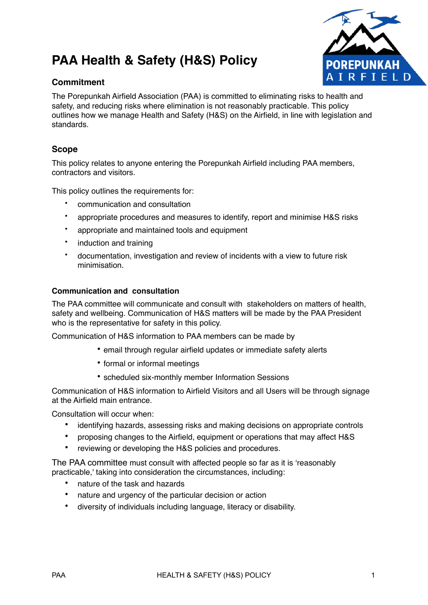# **PAA Health & Safety (H&S) Policy**



# **Commitment**

The Porepunkah Airfield Association (PAA) is committed to eliminating risks to health and safety, and reducing risks where elimination is not reasonably practicable. This policy outlines how we manage Health and Safety (H&S) on the Airfield, in line with legislation and standards.

# **Scope**

This policy relates to anyone entering the Porepunkah Airfield including PAA members, contractors and visitors.

This policy outlines the requirements for:

- communication and consultation
- appropriate procedures and measures to identify, report and minimise H&S risks
- appropriate and maintained tools and equipment
- induction and training
- documentation, investigation and review of incidents with a view to future risk minimisation.

#### **Communication and consultation**

The PAA committee will communicate and consult with stakeholders on matters of health, safety and wellbeing. Communication of H&S matters will be made by the PAA President who is the representative for safety in this policy.

Communication of H&S information to PAA members can be made by

- email through regular airfield updates or immediate safety alerts
- formal or informal meetings
- scheduled six-monthly member Information Sessions

Communication of H&S information to Airfield Visitors and all Users will be through signage at the Airfield main entrance.

Consultation will occur when:

- identifying hazards, assessing risks and making decisions on appropriate controls
- proposing changes to the Airfield, equipment or operations that may affect H&S
- reviewing or developing the H&S policies and procedures.

The PAA committee must consult with affected people so far as it is 'reasonably practicable,' taking into consideration the circumstances, including:

- nature of the task and hazards
- nature and urgency of the particular decision or action
- diversity of individuals including language, literacy or disability.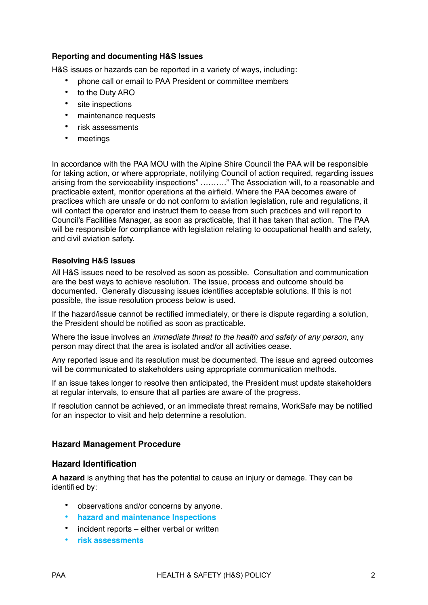## **Reporting and documenting H&S Issues**

H&S issues or hazards can be reported in a variety of ways, including:

- phone call or email to PAA President or committee members
- to the Duty ARO
- site inspections
- maintenance requests
- risk assessments
- meetings

In accordance with the PAA MOU with the Alpine Shire Council the PAA will be responsible for taking action, or where appropriate, notifying Council of action required, regarding issues arising from the serviceability inspections" ………." The Association will, to a reasonable and practicable extent, monitor operations at the airfield. Where the PAA becomes aware of practices which are unsafe or do not conform to aviation legislation, rule and regulations, it will contact the operator and instruct them to cease from such practices and will report to Council's Facilities Manager, as soon as practicable, that it has taken that action. The PAA will be responsible for compliance with legislation relating to occupational health and safety, and civil aviation safety.

### **Resolving H&S Issues**

All H&S issues need to be resolved as soon as possible. Consultation and communication are the best ways to achieve resolution. The issue, process and outcome should be documented. Generally discussing issues identifies acceptable solutions. If this is not possible, the issue resolution process below is used.

If the hazard/issue cannot be rectified immediately, or there is dispute regarding a solution, the President should be notified as soon as practicable.

Where the issue involves an *immediate threat to the health and safety of any person*, any person may direct that the area is isolated and/or all activities cease.

Any reported issue and its resolution must be documented. The issue and agreed outcomes will be communicated to stakeholders using appropriate communication methods.

If an issue takes longer to resolve then anticipated, the President must update stakeholders at regular intervals, to ensure that all parties are aware of the progress.

If resolution cannot be achieved, or an immediate threat remains, WorkSafe may be notified for an inspector to visit and help determine a resolution.

### **Hazard Management Procedure**

### **Hazard Identification**

**A hazard** is anything that has the potential to cause an injury or damage. They can be identified by:

- observations and/or concerns by anyone.
- **hazard and maintenance Inspections**
- incident reports either verbal or written
- **risk assessments**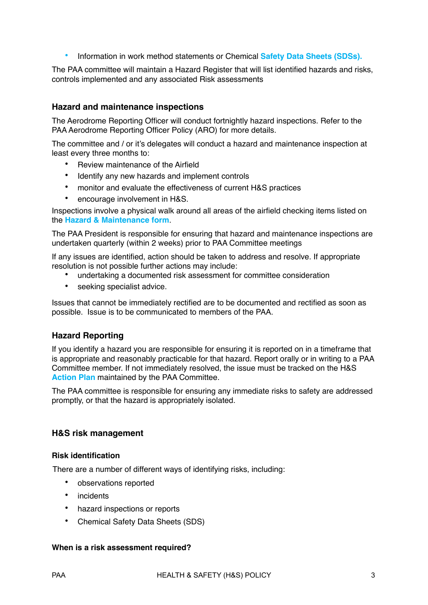• Information in work method statements or Chemical **Safety Data Sheets (SDSs).** 

The PAA committee will maintain a Hazard Register that will list identified hazards and risks, controls implemented and any associated Risk assessments

## **Hazard and maintenance inspections**

The Aerodrome Reporting Officer will conduct fortnightly hazard inspections. Refer to the PAA Aerodrome Reporting Officer Policy (ARO) for more details.

The committee and / or it's delegates will conduct a hazard and maintenance inspection at least every three months to:

- Review maintenance of the Airfield
- Identify any new hazards and implement controls
- monitor and evaluate the effectiveness of current H&S practices
- encourage involvement in H&S.

Inspections involve a physical walk around all areas of the airfield checking items listed on the **Hazard & Maintenance form**.

The PAA President is responsible for ensuring that hazard and maintenance inspections are undertaken quarterly (within 2 weeks) prior to PAA Committee meetings

If any issues are identified, action should be taken to address and resolve. If appropriate resolution is not possible further actions may include:

- undertaking a documented risk assessment for committee consideration
- seeking specialist advice.

Issues that cannot be immediately rectified are to be documented and rectified as soon as possible. Issue is to be communicated to members of the PAA.

### **Hazard Reporting**

If you identify a hazard you are responsible for ensuring it is reported on in a timeframe that is appropriate and reasonably practicable for that hazard. Report orally or in writing to a PAA Committee member. If not immediately resolved, the issue must be tracked on the H&S **Action Plan** maintained by the PAA Committee.

The PAA committee is responsible for ensuring any immediate risks to safety are addressed promptly, or that the hazard is appropriately isolated.

### **H&S risk management**

#### **Risk identification**

There are a number of different ways of identifying risks, including:

- observations reported
- incidents
- hazard inspections or reports
- Chemical Safety Data Sheets (SDS)

#### **When is a risk assessment required?**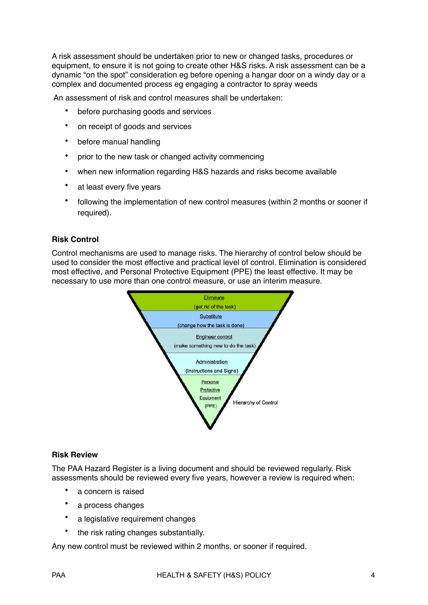A risk assessment should be undertaken prior to new or changed tasks, procedures or equipment, to ensure it is not going to create other H&S risks. A risk assessment can be a dynamic "on the spot" consideration eg before opening a hangar door on a windy day or a complex and documented process eg engaging a contractor to spray weeds

An assessment of risk and control measures shall be undertaken:

- before purchasing goods and services
- on receipt of goods and services
- before manual handling
- prior to the new task or changed activity commencing
- when new information regarding H&S hazards and risks become available
- at least every five years
- following the implementation of new control measures (within 2 months or sooner if required).

#### **Risk Control**

Control mechanisms are used to manage risks. The hierarchy of control below should be used to consider the most effective and practical level of control. Elimination is considered most effective, and Personal Protective Equipment (PPE) the least effective. It may be necessary to use more than one control measure, or use an interim measure.



#### **Risk Review**

The PAA Hazard Register is a living document and should be reviewed regularly. Risk assessments should be reviewed every five years, however a review is required when:

- a concern is raised
- a process changes
- a legislative requirement changes
- the risk rating changes substantially.

Any new control must be reviewed within 2 months, or sooner if required.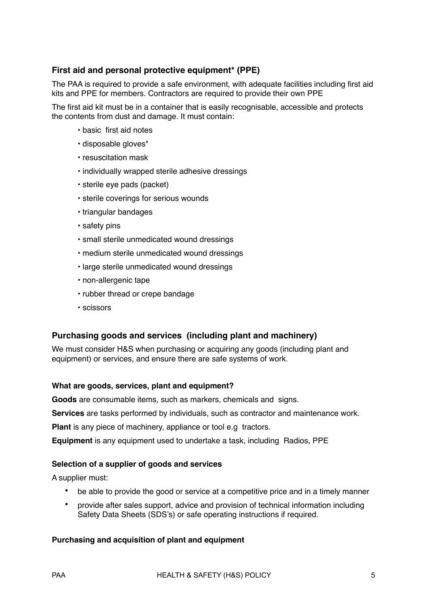# **First aid and personal protective equipment\* (PPE)**

The PAA is required to provide a safe environment, with adequate facilities including first aid kits and PPE for members. Contractors are required to provide their own PPE

The first aid kit must be in a container that is easily recognisable, accessible and protects the contents from dust and damage. It must contain:

- basic first aid notes
- disposable gloves\*
- resuscitation mask
- individually wrapped sterile adhesive dressings
- sterile eye pads (packet)
- sterile coverings for serious wounds
- triangular bandages
- safety pins
- small sterile unmedicated wound dressings
- medium sterile unmedicated wound dressings
- large sterile unmedicated wound dressings
- non-allergenic tape
- rubber thread or crepe bandage
- scissors

## **Purchasing goods and services (including plant and machinery)**

We must consider H&S when purchasing or acquiring any goods (including plant and equipment) or services, and ensure there are safe systems of work.

#### **What are goods, services, plant and equipment?**

**Goods** are consumable items, such as markers, chemicals and signs.

**Services** are tasks performed by individuals, such as contractor and maintenance work.

**Plant** is any piece of machinery, appliance or tool e.g tractors.

**Equipment** is any equipment used to undertake a task, including Radios, PPE

#### **Selection of a supplier of goods and services**

A supplier must:

- be able to provide the good or service at a competitive price and in a timely manner
- provide after sales support, advice and provision of technical information including Safety Data Sheets (SDS's) or safe operating instructions if required.

### **Purchasing and acquisition of plant and equipment**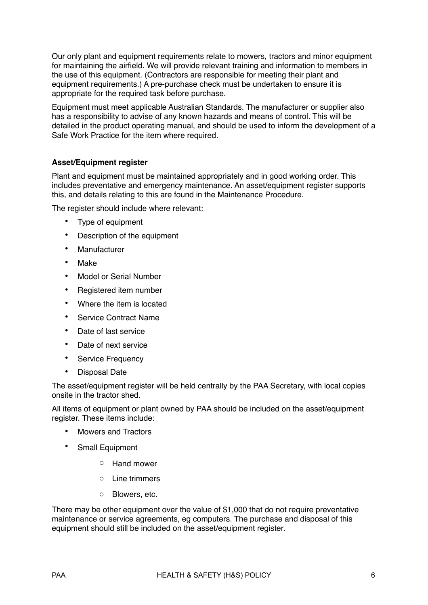Our only plant and equipment requirements relate to mowers, tractors and minor equipment for maintaining the airfield. We will provide relevant training and information to members in the use of this equipment. (Contractors are responsible for meeting their plant and equipment requirements.) A pre-purchase check must be undertaken to ensure it is appropriate for the required task before purchase.

Equipment must meet applicable Australian Standards. The manufacturer or supplier also has a responsibility to advise of any known hazards and means of control. This will be detailed in the product operating manual, and should be used to inform the development of a Safe Work Practice for the item where required.

## **Asset/Equipment register**

Plant and equipment must be maintained appropriately and in good working order. This includes preventative and emergency maintenance. An asset/equipment register supports this, and details relating to this are found in the Maintenance Procedure.

The register should include where relevant:

- Type of equipment
- Description of the equipment
- Manufacturer
- Make
- Model or Serial Number
- Registered item number
- Where the item is located
- Service Contract Name
- Date of last service
- Date of next service
- Service Frequency
- Disposal Date

The asset/equipment register will be held centrally by the PAA Secretary, with local copies onsite in the tractor shed.

All items of equipment or plant owned by PAA should be included on the asset/equipment register. These items include:

- Mowers and Tractors
- Small Equipment
	- o Hand mower
	- o Line trimmers
	- o Blowers, etc.

There may be other equipment over the value of \$1,000 that do not require preventative maintenance or service agreements, eg computers. The purchase and disposal of this equipment should still be included on the asset/equipment register.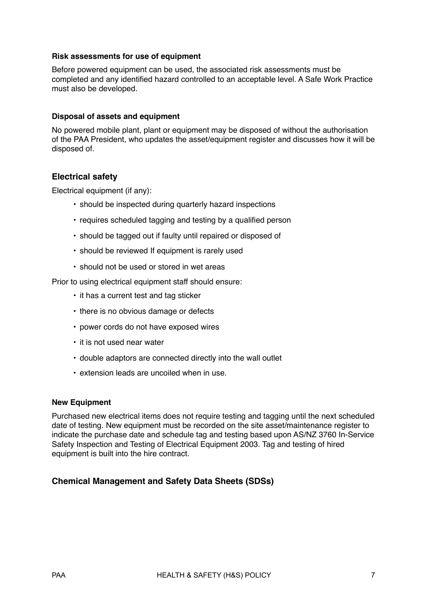#### **Risk assessments for use of equipment**

Before powered equipment can be used, the associated risk assessments must be completed and any identified hazard controlled to an acceptable level. A Safe Work Practice must also be developed.

#### **Disposal of assets and equipment**

No powered mobile plant, plant or equipment may be disposed of without the authorisation of the PAA President, who updates the asset/equipment register and discusses how it will be disposed of.

### **Electrical safety**

Electrical equipment (if any):

- should be inspected during quarterly hazard inspections
- requires scheduled tagging and testing by a qualified person
- should be tagged out if faulty until repaired or disposed of
- should be reviewed If equipment is rarely used
- should not be used or stored in wet areas

Prior to using electrical equipment staff should ensure:

- it has a current test and tag sticker
- there is no obvious damage or defects
- power cords do not have exposed wires
- it is not used near water
- double adaptors are connected directly into the wall outlet
- extension leads are uncoiled when in use.

#### **New Equipment**

Purchased new electrical items does not require testing and tagging until the next scheduled date of testing. New equipment must be recorded on the site asset/maintenance register to indicate the purchase date and schedule tag and testing based upon AS/NZ 3760 In-Service Safety Inspection and Testing of Electrical Equipment 2003. Tag and testing of hired equipment is built into the hire contract.

## **Chemical Management and Safety Data Sheets (SDSs)**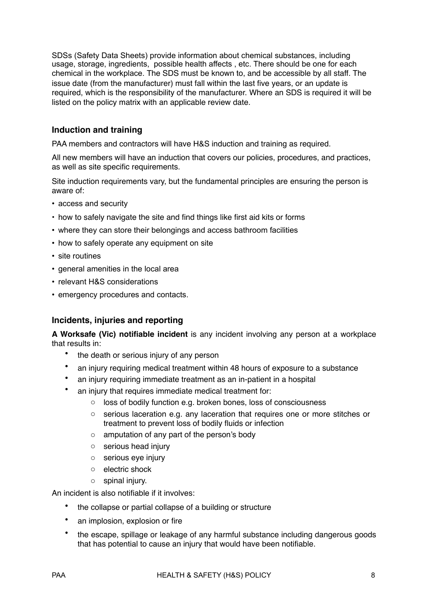SDSs (Safety Data Sheets) provide information about chemical substances, including usage, storage, ingredients, possible health affects , etc. There should be one for each chemical in the workplace. The SDS must be known to, and be accessible by all staff. The issue date (from the manufacturer) must fall within the last five years, or an update is required, which is the responsibility of the manufacturer. Where an SDS is required it will be listed on the policy matrix with an applicable review date.

# **Induction and training**

PAA members and contractors will have H&S induction and training as required.

All new members will have an induction that covers our policies, procedures, and practices, as well as site specific requirements.

Site induction requirements vary, but the fundamental principles are ensuring the person is aware of:

- access and security
- how to safely navigate the site and find things like first aid kits or forms
- where they can store their belongings and access bathroom facilities
- how to safely operate any equipment on site
- site routines
- general amenities in the local area
- relevant H&S considerations
- emergency procedures and contacts.

## **Incidents, injuries and reporting**

**A Worksafe (Vic) notifiable incident** is any incident involving any person at a workplace that results in:

- the death or serious injury of any person
- an injury requiring medical treatment within 48 hours of exposure to a substance
- an injury requiring immediate treatment as an in-patient in a hospital
- an injury that requires immediate medical treatment for:
	- o loss of bodily function e.g. broken bones, loss of consciousness
	- $\circ$  serious laceration e.g. any laceration that requires one or more stitches or treatment to prevent loss of bodily fluids or infection
	- o amputation of any part of the person's body
	- o serious head injury
	- o serious eye injury
	- o electric shock
	- o spinal injury.

An incident is also notifiable if it involves:

- the collapse or partial collapse of a building or structure
- an implosion, explosion or fire
- the escape, spillage or leakage of any harmful substance including dangerous goods that has potential to cause an injury that would have been notifiable.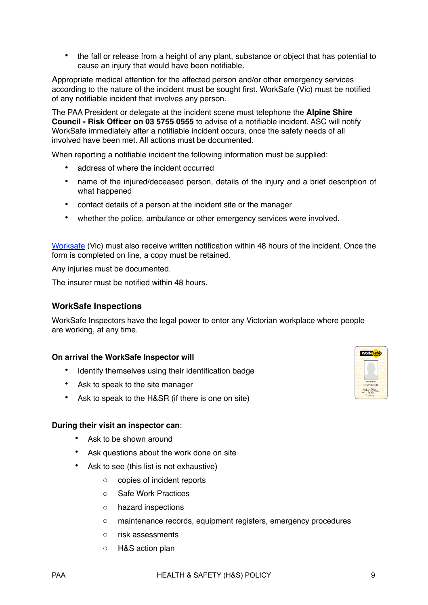• the fall or release from a height of any plant, substance or object that has potential to cause an injury that would have been notifiable.

Appropriate medical attention for the affected person and/or other emergency services according to the nature of the incident must be sought first. WorkSafe (Vic) must be notified of any notifiable incident that involves any person.

The PAA President or delegate at the incident scene must telephone the **Alpine Shire Council - Risk Officer on 03 5755 0555** to advise of a notifiable incident. ASC will notify WorkSafe immediately after a notifiable incident occurs, once the safety needs of all involved have been met. All actions must be documented.

When reporting a notifiable incident the following information must be supplied:

- address of where the incident occurred
- name of the injured/deceased person, details of the injury and a brief description of what happened
- contact details of a person at the incident site or the manager
- whether the police, ambulance or other emergency services were involved.

[Worksafe](http://www.workcover.vic.gov.au) (Vic) must also receive written notification within 48 hours of the incident. Once the form is completed on line, a copy must be retained.

Any injuries must be documented.

The insurer must be notified within 48 hours.

### **WorkSafe Inspections**

WorkSafe Inspectors have the legal power to enter any Victorian workplace where people are working, at any time.

#### **On arrival the WorkSafe Inspector will**

- Identify themselves using their identification badge
- Ask to speak to the site manager
- Ask to speak to the H&SR (if there is one on site)

#### **During their visit an inspector can**:

- Ask to be shown around
- Ask questions about the work done on site
- Ask to see (this list is not exhaustive)
	- o copies of incident reports
	- o Safe Work Practices
	- o hazard inspections
	- o maintenance records, equipment registers, emergency procedures
	- o risk assessments
	- o H&S action plan

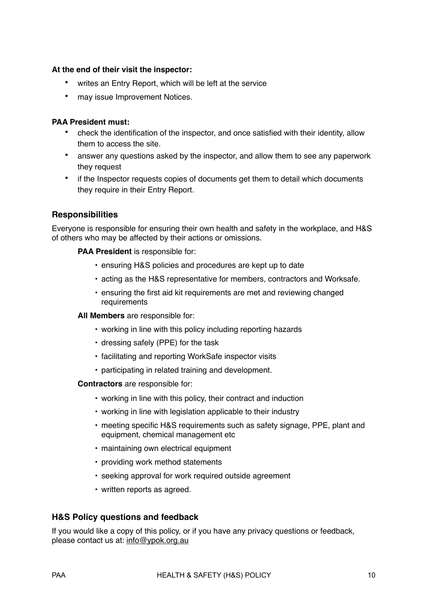## **At the end of their visit the inspector:**

- writes an Entry Report, which will be left at the service
- may issue Improvement Notices.

## **PAA President must:**

- check the identification of the inspector, and once satisfied with their identity, allow them to access the site.
- answer any questions asked by the inspector, and allow them to see any paperwork they request
- if the Inspector requests copies of documents get them to detail which documents they require in their Entry Report.

## **Responsibilities**

Everyone is responsible for ensuring their own health and safety in the workplace, and H&S of others who may be affected by their actions or omissions.

#### **PAA President** is responsible for:

- ensuring H&S policies and procedures are kept up to date
- acting as the H&S representative for members, contractors and Worksafe.
- ensuring the first aid kit requirements are met and reviewing changed requirements

#### **All Members** are responsible for:

- working in line with this policy including reporting hazards
- dressing safely (PPE) for the task
- facilitating and reporting WorkSafe inspector visits
- participating in related training and development.

#### **Contractors** are responsible for:

- working in line with this policy, their contract and induction
- working in line with legislation applicable to their industry
- meeting specific H&S requirements such as safety signage, PPE, plant and equipment, chemical management etc
- maintaining own electrical equipment
- providing work method statements
- seeking approval for work required outside agreement
- written reports as agreed.

### **H&S Policy questions and feedback**

If you would like a copy of this policy, or if you have any privacy questions or feedback, please contact us at: [info@ypok.org.au](mailto:info@ypok.org.au)